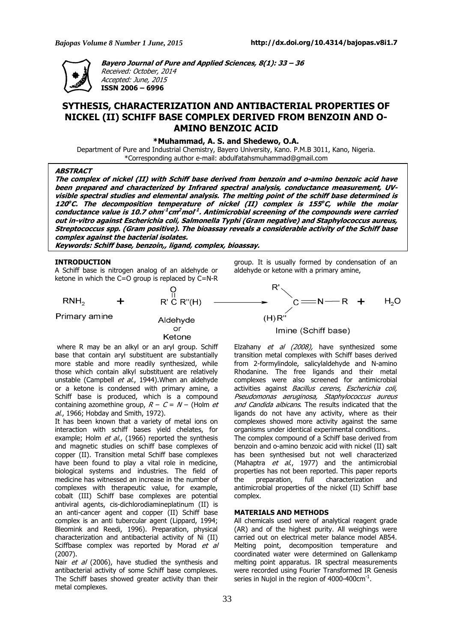

**Bayero Journal of Pure and Applied Sciences, 8(1): 33 – 36**  Received: October, 2014 Accepted: June, 2015 **ISSN 2006 – 6996** 

# **SYTHESIS, CHARACTERIZATION AND ANTIBACTERIAL PROPERTIES OF NICKEL (II) SCHIFF BASE COMPLEX DERIVED FROM BENZOIN AND O-AMINO BENZOIC ACID**

**\*Muhammad, A. S. and Shedewo, O.A.** 

Department of Pure and Industrial Chemistry, Bayero University, Kano. P.M.B 3011, Kano, Nigeria. \*Corresponding author e-mail: abdulfatahsmuhammad@gmail.com

## **ABSTRACT**

**The complex of nickel (II) with Schiff base derived from benzoin and o-amino benzoic acid have**  been prepared and characterized by Infrared spectral analysis, conductance measurement, UV**visible spectral studies and elemental analysis. The melting point of the schiff base determined is 120 <sup>o</sup>C. The decomposition temperature of nickel (II) complex is 155 <sup>o</sup>C, while the molar conductance value is 10.7 ohm-1 cm<sup>2</sup>mol -1 . Antimicrobial screening of the compounds were carried out in-vitro against Escherichia coli, Salmonella Typhi (Gram negative) and Staphylococcus aureus, Streptococcus spp. (Gram positive). The bioassay reveals a considerable activity of the Schiff base complex against the bacterial isolates.** 

**Keywords: Schiff base, benzoin,, ligand, complex, bioassay.** 

# **INTRODUCTION**

A Schiff base is nitrogen analog of an aldehyde or ketone in which the C=O group is replaced by C=N-R

 $RNH<sub>2</sub>$ 

Primary amine

Aldehyde or Ketone

 $R' \overset{\text{II}}{\mathsf{C}} R''(\mathsf{H})$ 

where R may be an alkyl or an aryl group. Schiff base that contain aryl substituent are substantially more stable and more readily synthesized, while those which contain alkyl substituent are relatively unstable (Campbell *et al.*, 1944). When an aldehyde or a ketone is condensed with primary amine, a Schiff base is produced, which is a compound containing azomethine group,  $R - C = N -$  (Holm *et*) al., 1966; Hobday and Smith, 1972).

It has been known that a variety of metal ions on interaction with schiff bases yield chelates, for example; Holm et al., (1966) reported the synthesis and magnetic studies on schiff base complexes of copper (II). Transition metal Schiff base complexes have been found to play a vital role in medicine, biological systems and industries. The field of medicine has witnessed an increase in the number of complexes with therapeutic value, for example, cobalt (III) Schiff base complexes are potential antiviral agents, cis-dichlorodiamineplatinum (II) is an anti-cancer agent and copper (II) Schiff base complex is an anti tubercular agent (Lippard, 1994; Bleomink and Reedi, 1996). Preparation, physical characterization and antibacterial activity of Ni (II) Sciffbase complex was reported by Morad et al (2007).

Nair et al (2006), have studied the synthesis and antibacterial activity of some Schiff base complexes. The Schiff bases showed greater activity than their metal complexes.

group. It is usually formed by condensation of an aldehyde or ketone with a primary amine,

$$
R'
$$
  
\n
$$
C = N - R + H2O
$$
  
\n
$$
(H)R''
$$
  
\n
$$
I_m
$$

#### Imine (Schiff base)

Elzahany et al (2008), have synthesized some transition metal complexes with Schiff bases derived from 2-formylindole, salicylaldehyde and N-amino Rhodanine. The free ligands and their metal complexes were also screened for antimicrobial activities against Bacillus cerens, Escherichia coli, Pseudomonas aeruginosa, Staphylococcus aureus and Candida albicans. The results indicated that the ligands do not have any activity, where as their complexes showed more activity against the same organisms under identical experimental conditions.. The complex compound of a Schiff base derived from benzoin and o-amino benzoic acid with nickel (II) salt has been synthesised but not well characterized (Mahaptra  $et$  al., 1977) and the antimicrobial properties has not been reported. This paper reports the preparation, full characterization and antimicrobial properties of the nickel (II) Schiff base complex.

# **MATERIALS AND METHODS**

All chemicals used were of analytical reagent grade (AR) and of the highest purity. All weighings were carried out on electrical meter balance model AB54. Melting point, decomposition temperature and coordinated water were determined on Gallenkamp melting point apparatus. IR spectral measurements were recorded using Fourier Transformed IR Genesis series in Nujol in the region of 4000-400 $\rm cm^{-1}.$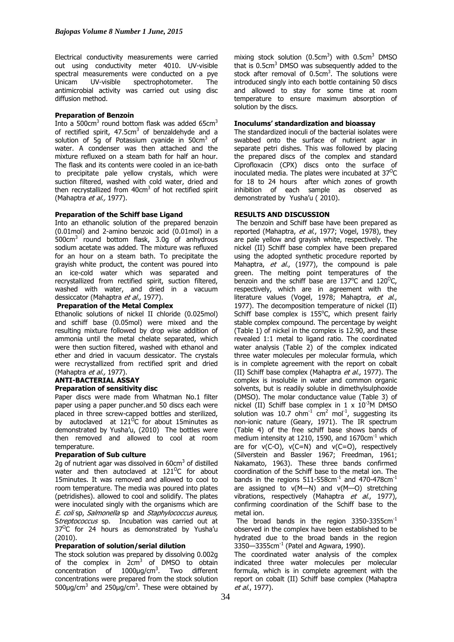Electrical conductivity measurements were carried out using conductivity meter 4010. UV-visible spectral measurements were conducted on a pye<br>Unicam UV-visible spectrophotometer. The spectrophotometer. The antimicrobial activity was carried out using disc diffusion method.

#### **Preparation of Benzoin**

Into a 500 $cm^3$  round bottom flask was added 65 $cm^3$ of rectified spirit, 47.5cm<sup>3</sup> of benzaldehyde and a solution of 5g of Potassium cyanide in 50 $cm<sup>3</sup>$  of water. A condenser was then attached and the mixture refluxed on a steam bath for half an hour. The flask and its contents were cooled in an ice-bath to precipitate pale yellow crystals, which were suction filtered, washed with cold water, dried and then recrystallized from  $40 \text{cm}^3$  of hot rectified spirit (Mahaptra et al., 1977).

# **Preparation of the Schiff base Ligand**

Into an ethanolic solution of the prepared benzoin (0.01mol) and 2-amino benzoic acid (0.01mol) in a 500cm<sup>3</sup> round bottom flask, 3.0g of anhydrous sodium acetate was added. The mixture was refluxed for an hour on a steam bath. To precipitate the grayish white product, the content was poured into an ice-cold water which was separated and recrystallized from rectified spirit, suction filtered, washed with water, and dried in a vacuum dessiccator (Mahaptra et al., 1977).

#### **Preparation of the Metal Complex**

Ethanolic solutions of nickel II chloride (0.025mol) and schiff base (0.05mol) were mixed and the resulting mixture followed by drop wise addition of ammonia until the metal chelate separated, which were then suction filtered, washed with ethanol and ether and dried in vacuum dessicator. The crystals were recrystallized from rectified sprit and dried (Mahaptra et al., 1977).

# **ANTI-BACTERIAL ASSAY Preparation of sensitivity disc**

Paper discs were made from Whatman No.1 filter paper using a paper puncher.and 50 discs each were placed in three screw-capped bottles and sterilized, by autoclaved at  $121^{\circ}$ C for about 15minutes as demonstrated by Yusha'u, (2010) The bottles were then removed and allowed to cool at room temperature.

#### **Preparation of Sub culture**

2g of nutrient agar was dissolved in 60cm<sup>3</sup> of distilled water and then autoclaved at  $121^{\circ}$ C for about 15minutes. It was removed and allowed to cool to room temperature. The media was poured into plates (petridishes). allowed to cool and solidify. The plates were inoculated singly with the organisms which are E. coli sp, Salmonella sp and Staphylococcus aureus, Streptococcus sp. Incubation was carried out at  $37^{\circ}$ C for 24 hours as demonstrated by Yusha'u (2010).

#### **Preparation of solution/serial dilution**

The stock solution was prepared by dissolving 0.002g of the complex in  $2cm<sup>3</sup>$  of DMSO to obtain concentration of  $1000 \mu g/cm^3$ . Two different concentrations were prepared from the stock solution  $500 \mu$ g/cm<sup>3</sup> and 250 $\mu$ g/cm<sup>3</sup>. These were obtained by

mixing stock solution  $(0.5cm^3)$  with  $0.5cm^3$  DMSO that is  $0.5 \text{cm}^3$  DMSO was subsequently added to the stock after removal of  $0.5cm<sup>3</sup>$ . The solutions were introduced singly into each bottle containing 50 discs and allowed to stay for some time at room temperature to ensure maximum absorption of solution by the discs.

# **Inoculums' standardization and bioassay**

The standardized inoculi of the bacterial isolates were swabbed onto the surface of nutrient agar in separate petri dishes. This was followed by placing the prepared discs of the complex and standard Ciprofloxacin (CPX) discs onto the surface of inoculated media. The plates were incubated at  $37^{\circ}$ C for 18 to 24 hours after which zones of growth inhibition of each sample as observed as demonstrated by Yusha'u (2010).

# **RESULTS AND DISCUSSION**

 The benzoin and Schiff base have been prepared as reported (Mahaptra, et al., 1977; Vogel, 1978), they are pale yellow and grayish white, respectively. The nickel (II) Schiff base complex have been prepared using the adopted synthetic procedure reported by Mahaptra, et al.,  $(1977)$ , the compound is pale green. The melting point temperatures of the benzoin and the schiff base are  $137^{\circ}$ C and  $120^{\circ}$ C. respectively, which are in agreement with the literature values (Vogel, 1978; Mahaptra, et al., 1977). The decomposition temperature of nickel (II) Schiff base complex is 155°C, which present fairly stable complex compound. The percentage by weight (Table 1) of nickel in the complex is 12.90, and these revealed 1:1 metal to ligand ratio. The coordinated water analysis (Table 2) of the complex indicated three water molecules per molecular formula, which is in complete agreement with the report on cobalt (II) Schiff base complex (Mahaptra et al., 1977). The complex is insoluble in water and common organic solvents, but is readily soluble in dimethylsulphoxide (DMSO). The molar conductance value (Table 3) of nickel (II) Schiff base complex in  $1 \times 10^{-3}$ M DMSO solution was 10.7 ohm<sup>-1</sup> cm<sup>2</sup> mol<sup>-1</sup>, suggesting its non-ionic nature (Geary, 1971). The IR spectrum (Table 4) of the free schiff base shows bands of medium intensity at 1210, 1590, and  $1670 \text{cm}^{-1}$  which are for  $v(C-O)$ ,  $v(C=N)$  and  $v(C=O)$ , respectively (Silverstein and Bassler 1967; Freedman, 1961; Nakamato, 1963). These three bands confirmed coordination of the Schiff base to the metal ion. The bands in the regions  $511-558$ cm<sup>-1</sup> and  $470-478$ cm<sup>-1</sup> are assigned to  $v(M-N)$  and  $v(M-O)$  stretching vibrations, respectively (Mahaptra et al., 1977), confirming coordination of the Schiff base to the metal ion.

The broad bands in the region 3350-3355cm<sup>-1</sup> observed in the complex have been established to be hydrated due to the broad bands in the region  $3350 - 3355$ cm<sup>-1</sup> (Patel and Agwara, 1990).

The coordinated water analysis of the complex indicated three water molecules per molecular formula, which is in complete agreement with the report on cobalt (II) Schiff base complex (Mahaptra et al., 1977).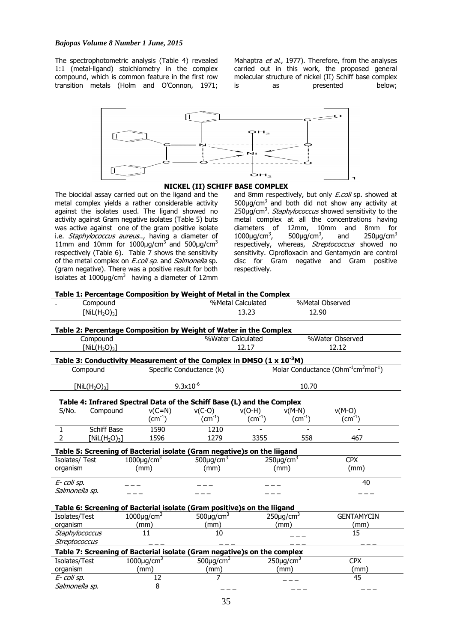The spectrophotometric analysis (Table 4) revealed 1:1 (metal-ligand) stoichiometry in the complex compound, which is common feature in the first row transition metals (Holm and O'Connon, 1971;

Mahaptra et al., 1977). Therefore, from the analyses carried out in this work, the proposed general molecular structure of nickel (II) Schiff base complex is as presented below;



#### **NICKEL (II) SCHIFF BASE COMPLEX**

The biocidal assay carried out on the ligand and the metal complex yields a rather considerable activity against the isolates used. The ligand showed no activity against Gram negative isolates (Table 5) buts was active against one of the gram positive isolate i.e. Staphylococcus aureus.., having a diameter of 11mm and 10mm for  $1000\mu g/cm^3$  and  $500\mu g/cm^3$ respectively (Table 6). Table 7 shows the sensitivity of the metal complex on *E.coli sp*. and *Salmonella* sp. (gram negative). There was a positive result for both isolates at  $1000 \mu g/cm^3$  having a diameter of 12mm

Salmonella sp. 8

and 8mm respectively, but only *E.coli* sp. showed at  $500\mu g/cm^3$  and both did not show any activity at 250µg/cm<sup>3</sup>. *Staphylococcus* showed sensitivity to the metal complex at all the concentrations having diameters of 12mm, 10mm and 8mm for  $1000 \mu g/cm^3$ , 500 $\mu$ g/cm<sup>3</sup>, and  $250\mu$ g/cm<sup>3</sup> respectively, whereas, Streptococcus showed no sensitivity. Ciprofloxacin and Gentamycin are control disc for Gram negative and Gram positive respectively.

|                                                                                                                                                                                |                    | Table 1: Percentage Composition by Weight of Metal in the Complex                |                             |                 |                                                                          |                   |  |  |  |  |  |
|--------------------------------------------------------------------------------------------------------------------------------------------------------------------------------|--------------------|----------------------------------------------------------------------------------|-----------------------------|-----------------|--------------------------------------------------------------------------|-------------------|--|--|--|--|--|
| Compound                                                                                                                                                                       |                    |                                                                                  | %Metal Calculated           |                 | %Metal Observed                                                          |                   |  |  |  |  |  |
| [NiL $(H_2O)_3$ ]                                                                                                                                                              |                    |                                                                                  | 13.23                       |                 |                                                                          | 12.90             |  |  |  |  |  |
| Table 2: Percentage Composition by Weight of Water in the Complex                                                                                                              |                    |                                                                                  |                             |                 |                                                                          |                   |  |  |  |  |  |
| %Water Calculated<br>%Water Observed<br>Compound                                                                                                                               |                    |                                                                                  |                             |                 |                                                                          |                   |  |  |  |  |  |
| [NiL(H <sub>2</sub> O) <sub>3</sub> ]                                                                                                                                          |                    |                                                                                  |                             | 12.17           | 12.12                                                                    |                   |  |  |  |  |  |
|                                                                                                                                                                                |                    |                                                                                  |                             |                 |                                                                          |                   |  |  |  |  |  |
|                                                                                                                                                                                |                    | Table 3: Conductivity Measurement of the Complex in DMSO ( $1 \times 10^{-3}$ M) |                             |                 |                                                                          |                   |  |  |  |  |  |
| Compound                                                                                                                                                                       |                    | Specific Conductance (k)                                                         |                             |                 | Molar Conductance (Ohm <sup>-1</sup> cm <sup>2</sup> mol <sup>-1</sup> ) |                   |  |  |  |  |  |
| $\left[\text{Nil}(H_2O)_3\right]$                                                                                                                                              |                    |                                                                                  | $9.3x10^{-6}$               |                 | 10.70                                                                    |                   |  |  |  |  |  |
|                                                                                                                                                                                |                    | Table 4: Infrared Spectral Data of the Schiff Base (L) and the Complex           |                             |                 |                                                                          |                   |  |  |  |  |  |
| S/No.                                                                                                                                                                          | Compound           | $v(C=N)$                                                                         | $v(C-O)$                    | $v(O-H)$        | $v(M-N)$                                                                 | $v(M-O)$          |  |  |  |  |  |
|                                                                                                                                                                                |                    | $\text{(cm}^{-1})$                                                               | $\text{(cm}^{-1})$          | $\rm (cm^{-1})$ | $\text{(cm}^{-1})$                                                       | $\rm (cm^{-1})$   |  |  |  |  |  |
| 1                                                                                                                                                                              | <b>Schiff Base</b> | 1590                                                                             | 1210                        |                 |                                                                          |                   |  |  |  |  |  |
| 2                                                                                                                                                                              | [NiL $(H_2O)_3$ ]  | 1596                                                                             | 1279                        | 3355            | 558                                                                      | 467               |  |  |  |  |  |
| Table 5: Screening of Bacterial isolate (Gram negative)s on the liigand                                                                                                        |                    |                                                                                  |                             |                 |                                                                          |                   |  |  |  |  |  |
| Isolates/ Test                                                                                                                                                                 |                    | $1000 \mu q/cm^3$                                                                | 500 $\mu$ g/cm <sup>3</sup> |                 | $250 \mu g/cm3$                                                          | <b>CPX</b>        |  |  |  |  |  |
| organism                                                                                                                                                                       |                    | (mm)                                                                             | (mm)                        |                 | (mm)                                                                     | (mm)              |  |  |  |  |  |
| E- coli sp.                                                                                                                                                                    |                    |                                                                                  |                             |                 |                                                                          | 40                |  |  |  |  |  |
| Salmonella sp.                                                                                                                                                                 |                    |                                                                                  |                             |                 |                                                                          |                   |  |  |  |  |  |
|                                                                                                                                                                                |                    |                                                                                  |                             |                 |                                                                          |                   |  |  |  |  |  |
|                                                                                                                                                                                |                    | Table 6: Screening of Bacterial isolate (Gram positive)s on the liigand          |                             |                 |                                                                          |                   |  |  |  |  |  |
| Isolates/Test                                                                                                                                                                  |                    | $1000 \mu g/cm^3$                                                                | $500 \mu q/cm^3$            |                 | $250 \mu g/cm^3$                                                         | <b>GENTAMYCIN</b> |  |  |  |  |  |
| organism                                                                                                                                                                       |                    | (mm)<br>11                                                                       | (mm)<br>10                  | (mm)            |                                                                          | (mm)<br>15        |  |  |  |  |  |
| Staphylococcus<br>Streptococcus                                                                                                                                                |                    |                                                                                  |                             |                 |                                                                          |                   |  |  |  |  |  |
|                                                                                                                                                                                |                    |                                                                                  |                             |                 |                                                                          |                   |  |  |  |  |  |
| Table 7: Screening of Bacterial isolate (Gram negative)s on the complex<br>$1000 \mu g/cm^3$<br>500 $\mu$ g/cm <sup>3</sup><br>$250 \mu g/cm^3$<br>Isolates/Test<br><b>CPX</b> |                    |                                                                                  |                             |                 |                                                                          |                   |  |  |  |  |  |
| organism                                                                                                                                                                       |                    | (mm)                                                                             | (mm)                        |                 | (mm)                                                                     | (mm)              |  |  |  |  |  |
| E- coli sp.                                                                                                                                                                    |                    | 12                                                                               | 7                           |                 |                                                                          | 45                |  |  |  |  |  |